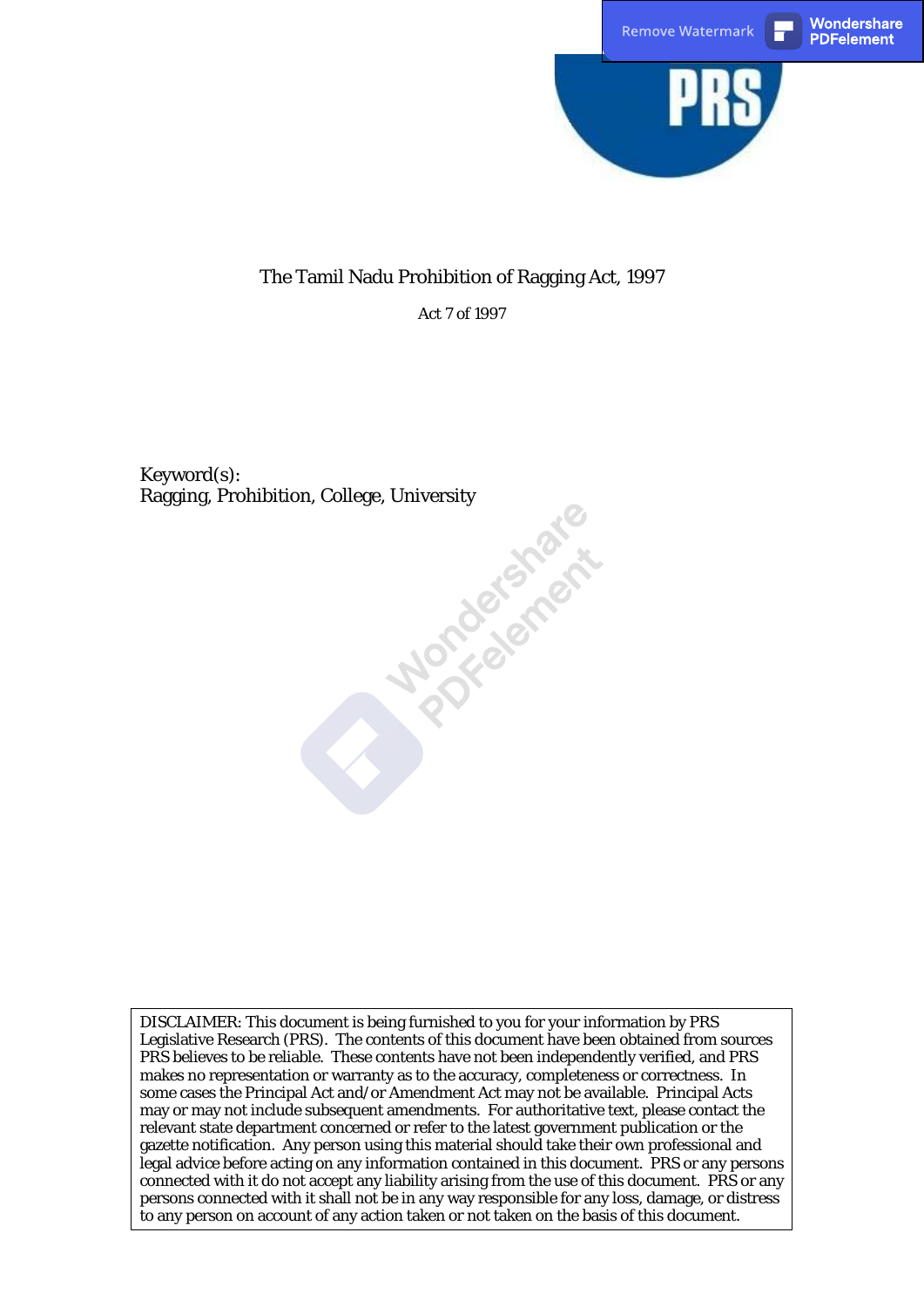

## The Tamil Nadu Prohibition of Ragging Act, 1997

Act 7 of 1997

Keyword(s): Ragging, Prohibition, College, University

DISCLAIMER: This document is being furnished to you for your information by PRS Legislative Research (PRS). The contents of this document have been obtained from sources PRS believes to be reliable. These contents have not been independently verified, and PRS makes no representation or warranty as to the accuracy, completeness or correctness. In some cases the Principal Act and/or Amendment Act may not be available. Principal Acts may or may not include subsequent amendments. For authoritative text, please contact the relevant state department concerned or refer to the latest government publication or the gazette notification. Any person using this material should take their own professional and legal advice before acting on any information contained in this document. PRS or any persons connected with it do not accept any liability arising from the use of this document. PRS or any persons connected with it shall not be in any way responsible for any loss, damage, or distress to any person on account of any action taken or not taken on the basis of this document.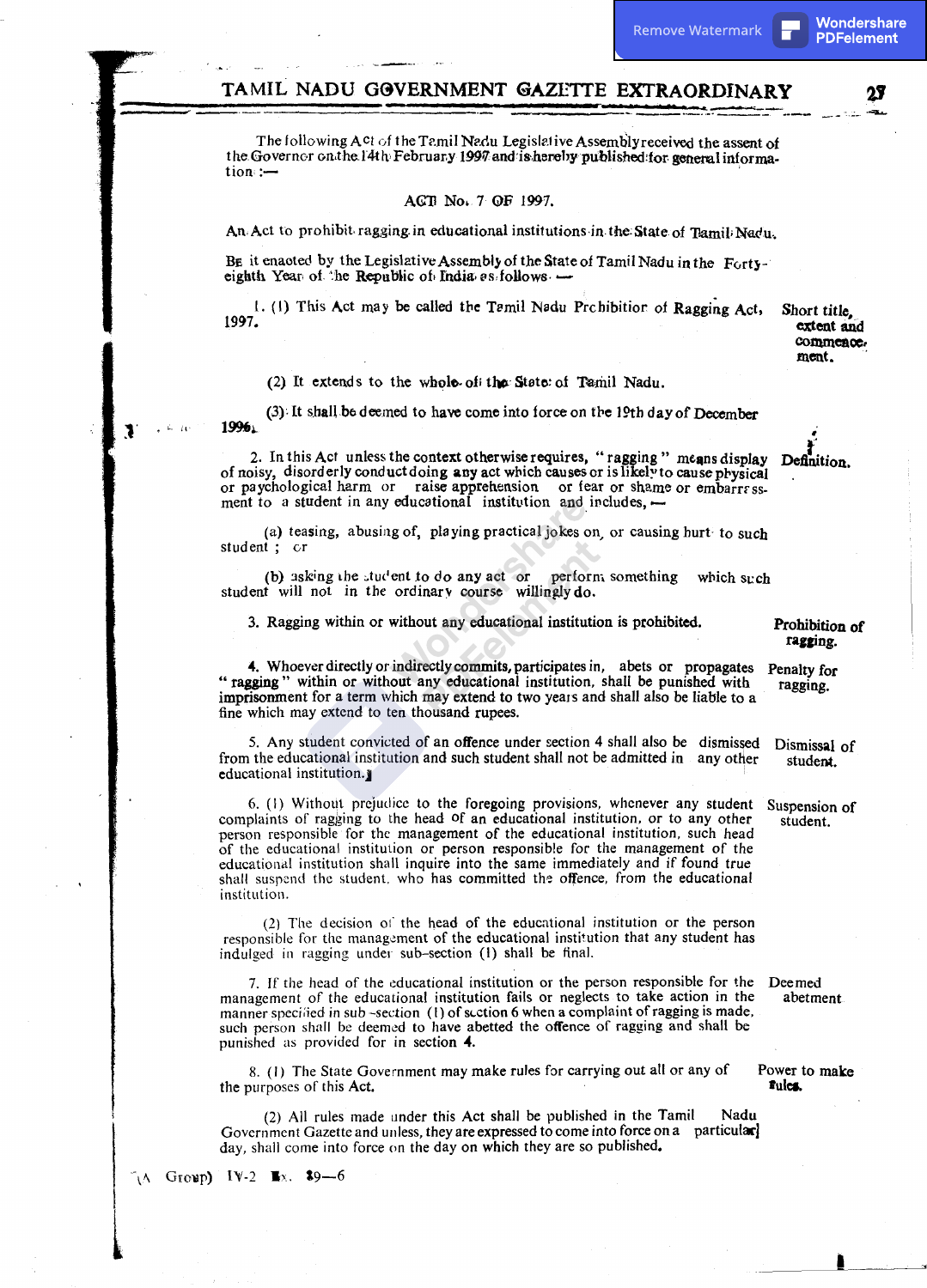### TAMIL NADU GOVERNMENT GAZETTE EXTRAORDINARY

The following Act of the Tamil Nadu Legislative Assembly received the assent of the Governor on the 14th February 1997 and is hereby published for general information:-

#### ACT No. 7 OF 1997.

An Act to prohibit ragging in educational institutions in the State of Tamil Nadu.

BE it enaoted by the Legislative Assembly of the State of Tamil Nadu in the Fortyeighth Year of the Republic of India as follows -

1. (1) This Act may be called the Tamil Nadu Probibition of Ragging Act, 1997.

Short title, extent and commence. ment.

(2) It extends to the whole of the State of Tamil Nadu.

(3) It shall be deemed to have come into force on the 19th day of December 1996

2. In this Act unless the context otherwise requires, "ragging" means display Definition. of noisy, disorderly conduct doing any act which causes or is likely to cause physical or paychological harm or raise apprehension or fear or shame or embarrassment to a student in any educational institution and includes, -

(a) teasing, abusing of, playing practical jokes on, or causing hurt to such student; cr

(b) asking the student to do any act or perform something which such student will not in the ordinary course willingly do.

3. Ragging within or without any educational institution is prohibited.

4. Whoever directly or indirectly commits, participates in, abets or propagates "ragging" within or without any educational institution, shall be punished with imprisonment for a term which may extend to two years and shall also be liable to a fine which may extend to ten thousand rupees.

5. Any student convicted of an offence under section 4 shall also be dismissed from the educational institution and such student shall not be admitted in any other educational institution.

6. (1) Without prejudice to the foregoing provisions, whenever any student complaints of ragging to the head of an educational institution, or to any other person responsible for the management of the educational institution, such head of the educational institution or person responsible for the management of the educational institution shall inquire into the same immediately and if found true shall suspend the student, who has committed the offence, from the educational institution.

(2) The decision of the head of the educational institution or the person responsible for the management of the educational institution that any student has indulged in ragging under sub-section (1) shall be final.

7. If the head of the educational institution or the person responsible for the management of the educational institution fails or neglects to take action in the manner specified in sub-section (1) of section 6 when a complaint of ragging is made, such person shall be deemed to have abetted the offence of ragging and shall be punished as provided for in section 4.

8. (1) The State Government may make rules for carrying out all or any of the purposes of this Act.

(2) All rules made under this Act shall be published in the Tamil Nadu Government Gazette and unless, they are expressed to come into force on a particular day, shall come into force on the day on which they are so published.

Group) IV-2  $\mathbb{R}$ x. \$9-6 ÑΛ

Prohibition of ragging.

Penalty for ragging.

Dismissal of student.

Suspension of student.

Deemed abetment

Power to make Fules.